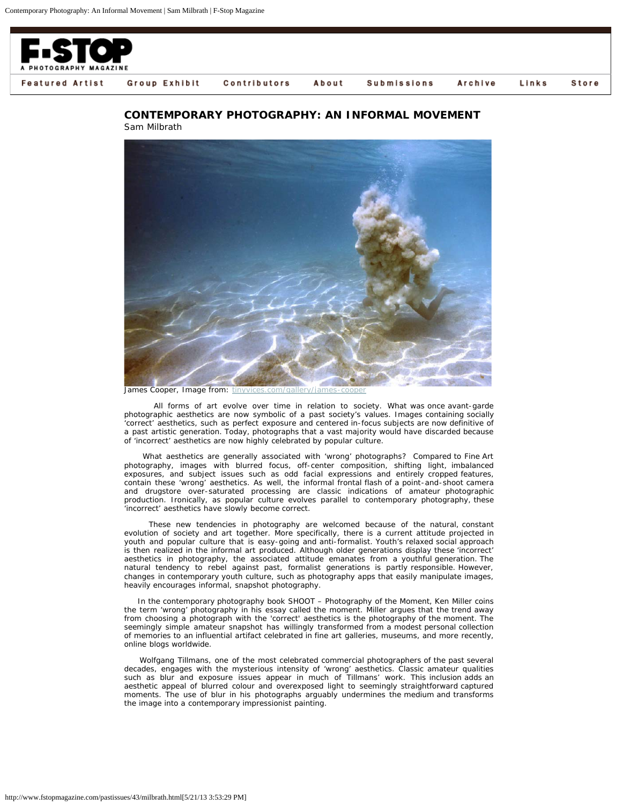

## **CONTEMPORARY PHOTOGRAPHY: AN INFORMAL MOVEMENT** Sam Milbrath



James Cooper, Image from: tinyvices.com/gallery/james

 All forms of art evolve over time in relation to society. What was once avant-garde photographic aesthetics are now symbolic of a past society's values. Images containing socially 'correct' aesthetics, such as perfect exposure and centered in-focus subjects are now definitive of a past artistic generation. Today, photographs that a vast majority would have discarded because of 'incorrect' aesthetics are now highly celebrated by popular culture.

 What aesthetics are generally associated with 'wrong' photographs? Compared to Fine Art photography, images with blurred focus, off-center composition, shifting light, imbalanced exposures, and subject issues such as odd facial expressions and entirely cropped features, contain these 'wrong' aesthetics. As well, the informal frontal flash of a point-and-shoot camera and drugstore over-saturated processing are classic indications of amateur photographic production. Ironically, as popular culture evolves parallel to contemporary photography, these 'incorrect' aesthetics have slowly become correct.

 These new tendencies in photography are welcomed because of the natural, constant evolution of society and art together. More specifically, there is a current attitude projected in youth and popular culture that is easy-going and anti-formalist. Youth's relaxed social approach is then realized in the informal art produced. Although older generations display these 'incorrect' aesthetics in photography, the associated attitude emanates from a youthful generation. The natural tendency to rebel against past, formalist generations is partly responsible. However, changes in contemporary youth culture, such as photography apps that easily manipulate images, heavily encourages informal, snapshot photography.

 In the contemporary photography book SHOOT – Photography of the Moment, Ken Miller coins the term 'wrong' photography in his essay called the moment. Miller argues that the trend away from choosing a photograph with the 'correct' aesthetics is the photography of the moment. The seemingly simple amateur snapshot has willingly transformed from a modest personal collection of memories to an influential artifact celebrated in fine art galleries, museums, and more recently, online blogs worldwide.

 Wolfgang Tillmans, one of the most celebrated commercial photographers of the past several decades, engages with the mysterious intensity of 'wrong' aesthetics. Classic amateur qualities such as blur and exposure issues appear in much of Tillmans' work. This inclusion adds an aesthetic appeal of blurred colour and overexposed light to seemingly straightforward captured moments. The use of blur in his photographs arguably undermines the medium and transforms the image into a contemporary impressionist painting.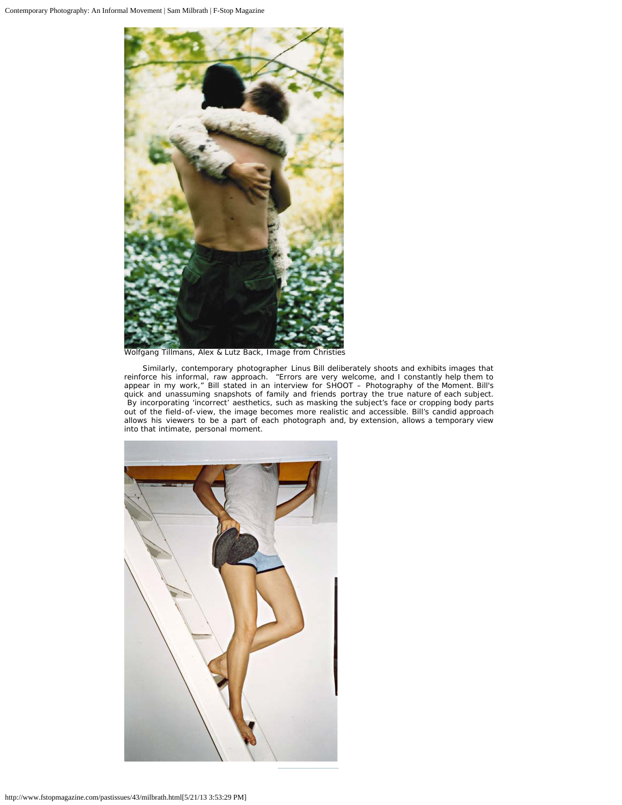

Wolfgang Tillmans, Alex & Lutz Back, Image from Christies

 Similarly, contemporary photographer Linus Bill deliberately shoots and exhibits images that reinforce his informal, raw approach. "Errors are very welcome, and I constantly help them to appear in my work," Bill stated in an interview for SHOOT – Photography of the Moment. Bill's quick and unassuming snapshots of family and friends portray the true nature of each subject. By incorporating 'incorrect' aesthetics, such as masking the subject's face or cropping body parts out of the field-of-view, the image becomes more realistic and accessible. Bill's candid approach allows his viewers to be a part of each photograph and, by extension, allows a temporary view into that intimate, personal moment.

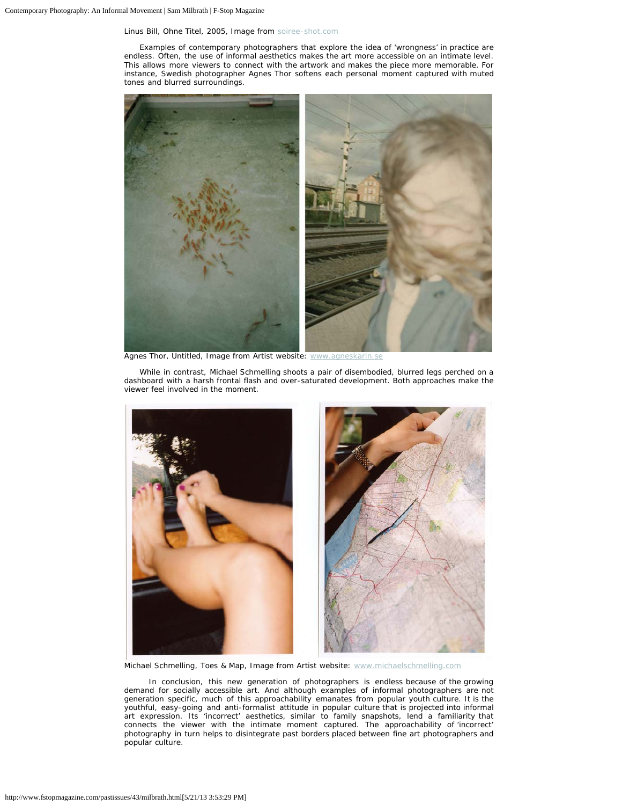## Linus Bill, Ohne Titel, 2005, Image from [soiree-shot.com](http://soiree-shot.com/)

 Examples of contemporary photographers that explore the idea of 'wrongness' in practice are endless. Often, the use of informal aesthetics makes the art more accessible on an intimate level. This allows more viewers to connect with the artwork and makes the piece more memorable. For instance, Swedish photographer Agnes Thor softens each personal moment captured with muted tones and blurred surroundings.



Agnes Thor, Untitled, Image from Artist website: [www.agneskarin.se](http://www.agneskarin.se/)

 While in contrast, Michael Schmelling shoots a pair of disembodied, blurred legs perched on a dashboard with a harsh frontal flash and over-saturated development. Both approaches make the viewer feel involved in the moment.



Michael Schmelling, Toes & Map, Image from Artist website: [www.michaelschmelling.com](http://www.michaelschmelling.com/)

 In conclusion, this new generation of photographers is endless because of the growing demand for socially accessible art. And although examples of informal photographers are not generation specific, much of this approachability emanates from popular youth culture. It is the youthful, easy-going and anti-formalist attitude in popular culture that is projected into informal art expression. Its 'incorrect' aesthetics, similar to family snapshots, lend a familiarity that connects the viewer with the intimate moment captured. The approachability of 'incorrect' photography in turn helps to disintegrate past borders placed between fine art photographers and popular culture.